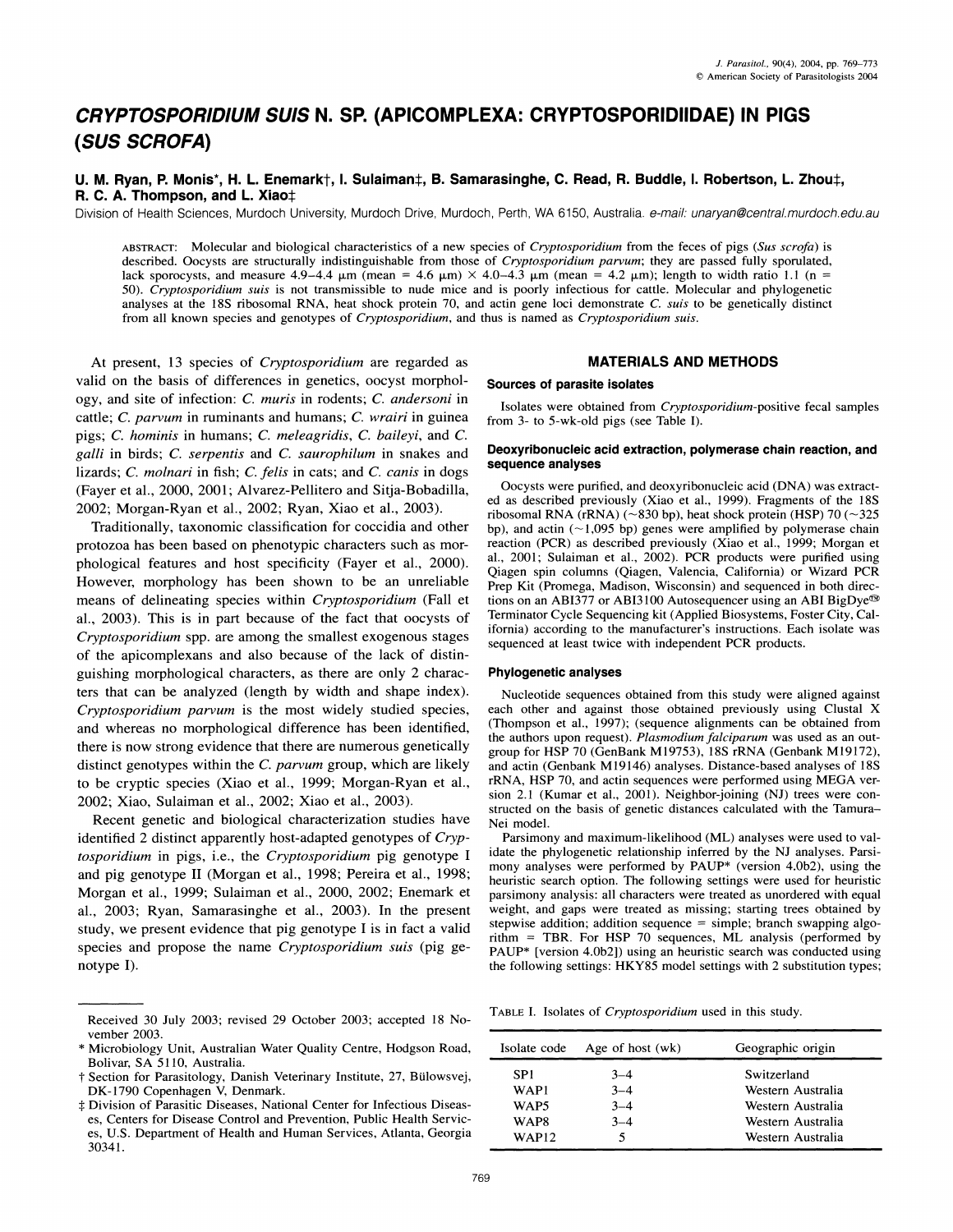## **CRYPTOSPORIDIUM SUIS N. SP. (APICOMPLEXA: CRYPTOSPORIDIIDAE) IN PIGS (SUS SCROFA)**

### U. M. Ryan, P. Monis\*, H. L. Enemark†, I. Sulaiman‡, B. Samarasinghe, C. Read, R. Buddle, I. Robertson, L. Zhou‡, **R. C. A. Thompson, and L. Xiao**#

**Division of Health Sciences, Murdoch University, Murdoch Drive, Murdoch, Perth, WA 6150, Australia. e-mail: unaryan@2central.murdoch.edu.au** 

**ABSTRACT: Molecular and biological characteristics of a new species of Cryptosporidium from the feces of pigs (Sus scrofa) is described. Oocysts are structurally indistinguishable from those of Cryptosporidium parvum; they are passed fully sporulated,**  lack sporocysts, and measure 4.9-4.4  $\mu$ m (mean = 4.6  $\mu$ m) × 4.0-4.3  $\mu$ m (mean = 4.2  $\mu$ m); length to width ratio 1.1 (n = **50). Cryptosporidium suis is not transmissible to nude mice and is poorly infectious for cattle. Molecular and phylogenetic analyses at the 18S ribosomal RNA, heat shock protein 70, and actin gene loci demonstrate C. suis to be genetically distinct from all known species and genotypes of Cryptosporidium, and thus is named as Cryptosporidium suis.** 

**At present, 13 species of Cryptosporidium are regarded as valid on the basis of differences in genetics, oocyst morphology, and site of infection: C. muris in rodents; C. andersoni in cattle; C. parvum in ruminants and humans; C. wrairi in guinea pigs; C. hominis in humans; C. meleagridis, C. baileyi, and C. galli in birds; C. serpentis and C. saurophilum in snakes and lizards; C. molnari in fish; C. felis in cats; and C. canis in dogs (Fayer et al., 2000, 2001; Alvarez-Pellitero and Sitja-Bobadilla, 2002; Morgan-Ryan et al., 2002; Ryan, Xiao et al., 2003).** 

**Traditionally, taxonomic classification for coccidia and other protozoa has been based on phenotypic characters such as morphological features and host specificity (Fayer et al., 2000). However, morphology has been shown to be an unreliable means of delineating species within Cryptosporidium (Fall et al., 2003). This is in part because of the fact that oocysts of Cryptosporidium spp. are among the smallest exogenous stages of the apicomplexans and also because of the lack of distinguishing morphological characters, as there are only 2 characters that can be analyzed (length by width and shape index). Cryptosporidium parvum is the most widely studied species, and whereas no morphological difference has been identified, there is now strong evidence that there are numerous genetically distinct genotypes within the C. parvum group, which are likely to be cryptic species (Xiao et al., 1999; Morgan-Ryan et al., 2002; Xiao, Sulaiman et al., 2002; Xiao et al., 2003).** 

**Recent genetic and biological characterization studies have identified 2 distinct apparently host-adapted genotypes of Cryptosporidium in pigs, i.e., the Cryptosporidium pig genotype I and pig genotype II (Morgan et al., 1998; Pereira et al., 1998; Morgan et al., 1999; Sulaiman et al., 2000, 2002; Enemark et al., 2003; Ryan, Samarasinghe et al., 2003). In the present study, we present evidence that pig genotype I is in fact a valid species and propose the name Cryptosporidium suis (pig genotype I).** 

### **MATERIALS AND METHODS**

### **Sources of parasite isolates**

**Isolates were obtained from Cryptosporidium-positive fcal samples from 3- to 5-wk-old pigs (see Table I).** 

### **Deoxyribonucleic acid extraction, polymerase chain reaction, and sequence analyses**

**Oocysts were purified, and deoxyribonucleic acid (DNA) was extracted as described previously (Xiao et al., 1999). Fragments of the 18S**  ribosomal RNA  $(rRNA)$  ( $\sim$ 830 bp), heat shock protein (HSP) 70 ( $\sim$ 325 **bp), and actin ( 1,095 bp) genes were amplified by polymerase chain reaction (PCR) as described previously (Xiao et al., 1999; Morgan et al., 2001; Sulaiman et al., 2002). PCR products were purified using Qiagen spin columns (Qiagen, Valencia, California) or Wizard PCR Prep Kit (Promega, Madison, Wisconsin) and sequenced in both direc**tions on an ABI377 or ABI3100 Autosequencer using an ABI BigDye<sup>®</sup> **Terminator Cycle Sequencing kit (Applied Biosystems, Foster City, California) according to the manufacturer's instructions. Each isolate was sequenced at least twice with independent PCR products.** 

### **Phylogenetic analyses**

**Nucleotide sequences obtained from this study were aligned against each other and against those obtained previously using Clustal X (Thompson et al., 1997); (sequence alignments can be obtained from the authors upon request). Plasmodium falciparum was used as an outgroup for HSP 70 (GenBank M19753), 18S rRNA (Genbank M19172), and actin (Genbank M19146) analyses. Distance-based analyses of 18S rRNA, HSP 70, and actin sequences were performed using MEGA ver**sion 2.1 (Kumar et al., 2001). Neighbor-joining (NJ) trees were con**structed on the basis of genetic distances calculated with the Tamura-Nei model.** 

**Parsimony and maximum-likelihood (ML) analyses were used to validate the phylogenetic relationship inferred by the NJ analyses. Parsimony analyses were performed by PAUP\* (version 4.0b2), using the heuristic search option. The following settings were used for heuristic parsimony analysis: all characters were treated as unordered with equal weight, and gaps were treated as missing; starting trees obtained by stepwise addition; addition sequence = simple; branch swapping algorithm = TBR. For HSP 70 sequences, ML analysis (performed by PAUP\* [version 4.0b21) using an heuristic search was conducted using the following settings: HKY85 model settings with 2 substitution types;** 

TABLE I. Isolates of *Cryptosporidium* used in this study.

| Isolate code     | Age of host (wk) | Geographic origin |
|------------------|------------------|-------------------|
| SP <sub>1</sub>  | $3 - 4$          | Switzerland       |
| WAP1             | $3 - 4$          | Western Australia |
| WAP <sub>5</sub> | $3 - 4$          | Western Australia |
| <b>WAP8</b>      | $3 - 4$          | Western Australia |
| <b>WAP12</b>     | 5                | Western Australia |

**Received 30 July 2003; revised 29 October 2003; accepted 18 November 2003.** 

**<sup>\*</sup> Microbiology Unit, Australian Water Quality Centre, Hodgson Road, Bolivar, SA 5110, Australia.** 

**t Section for Parasitology, Danish Veterinary Institute, 27, Bulowsvej, DK-1790 Copenhagen V, Denmark.** 

 $\ddagger$  Division of Parasitic Diseases, National Center for Infectious Diseas**es, Centers for Disease Control and Prevention, Public Health Services, U.S. Department of Health and Human Services, Atlanta, Georgia 30341.**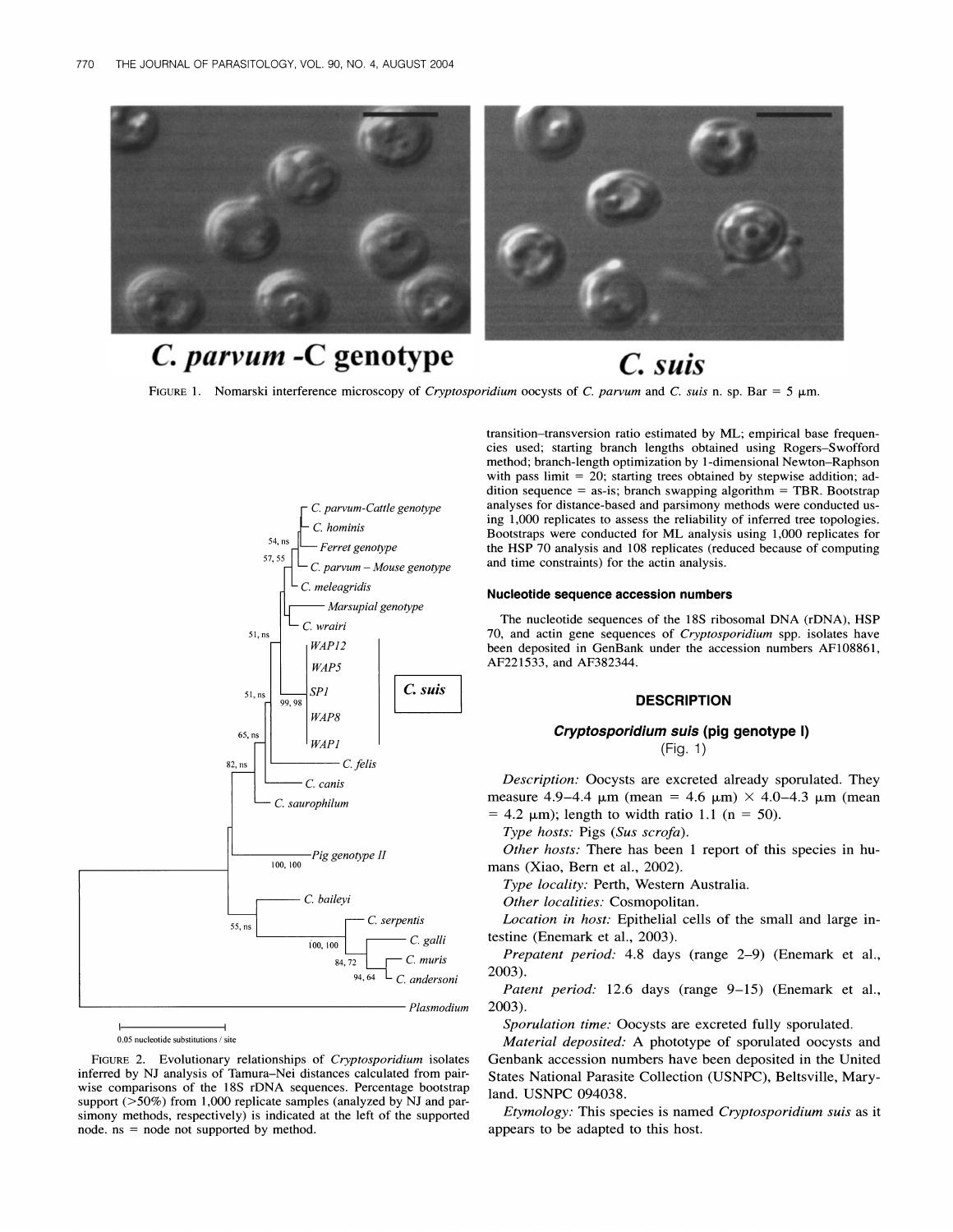

# **C. parvum -C genotype** C. suis

FIGURE 1. Nomarski interference microscopy of Cryptosporidium oocysts of C. parvum and C. suis n. sp. Bar = 5  $\mu$ m.



**0.05 nucleotide substitutions / site** 

wise comparisons of the 18S rDNA sequences. Percentage bootstrap **land. USNPC 094038** support ( $>$ 50%) from 1,000 replicate samples (analyzed by NJ and par-FIGURE 2. Evolutionary relationships of *Cryptosporidium* isolates inferred by NJ analysis of Tamura-Nei distances calculated from pairsimony methods, respectively) is indicated at the left of the supported **node. ns = node not supported by method.** 

**transition-transversion ratio estimated by ML; empirical base frequencies used; starting branch lengths obtained using Rogers-Swofford method; branch-length optimization by l-dimensional Newton-Raphson with pass limit = 20; starting trees obtained by stepwise addition; addition sequence = as-is; branch swapping algorithm = TBR. Bootstrap**  analyses for distance-based and parsimony methods were conducted us**ing 1,000 replicates to assess the reliability of inferred tree topologies. Bootstraps were conducted for ML analysis using 1,000 replicates for**  Ferret genotype **the HSP** 70 analysis and 108 replicates (reduced because of computing *marrow m – Mouse genotype* and time constraints) for the actin analysis.

**The nucleotide sequences of the 18S ribosomal DNA (rDNA), HSP 70, and actin gene sequences of Cryptosporidium spp. isolates have been deposited in GenBank under the accession numbers AF108861, AF221533, and AF382344.** 

### **DESCRIPTION**

### **Cryptosporidium suis (pig genotype 1) (Fig. 1)**

**Description: Oocysts are excreted already sporulated. They measure 4.9–4.4**  $\mu$ m (mean = 4.6  $\mu$ m)  $\times$  4.0–4.3  $\mu$ m (mean  $= 4.2 \mu m$ ; length to width ratio 1.1 (n = 50).

**Type hosts: Pigs (Sus scrofa).** 

Other hosts: There has been 1 report of this species in hu**mans (Xiao, Bern et al., 2002).** 

**Type locality: Perth, Western Australia.** 

**Other localities. Cosmopolitan.** 

**- C. serpentis Location in host: Epithelial cells of the small and large in-C. galli testine (Enemark et al., 2003).** 

**Prepatent period:** 4.8 days (range 2–9) (Enemark et al., 2003).

**SC. andersoni 2003). Patent period: 12.6 days (range 9-15) (Enemark et al.,** 

**Sporulation time: Oocysts are excreted fully sporulated.** 

**Material deposited: A phototype of sporulated oocysts and**  Genbank accession numbers have been deposited in the United **lates National Parasite Collection (USNPC), Beltsville, Mary-**

**ft of the supported Etymology: This species is named Cryptosporidium suis as it appears to be adapted to this host.**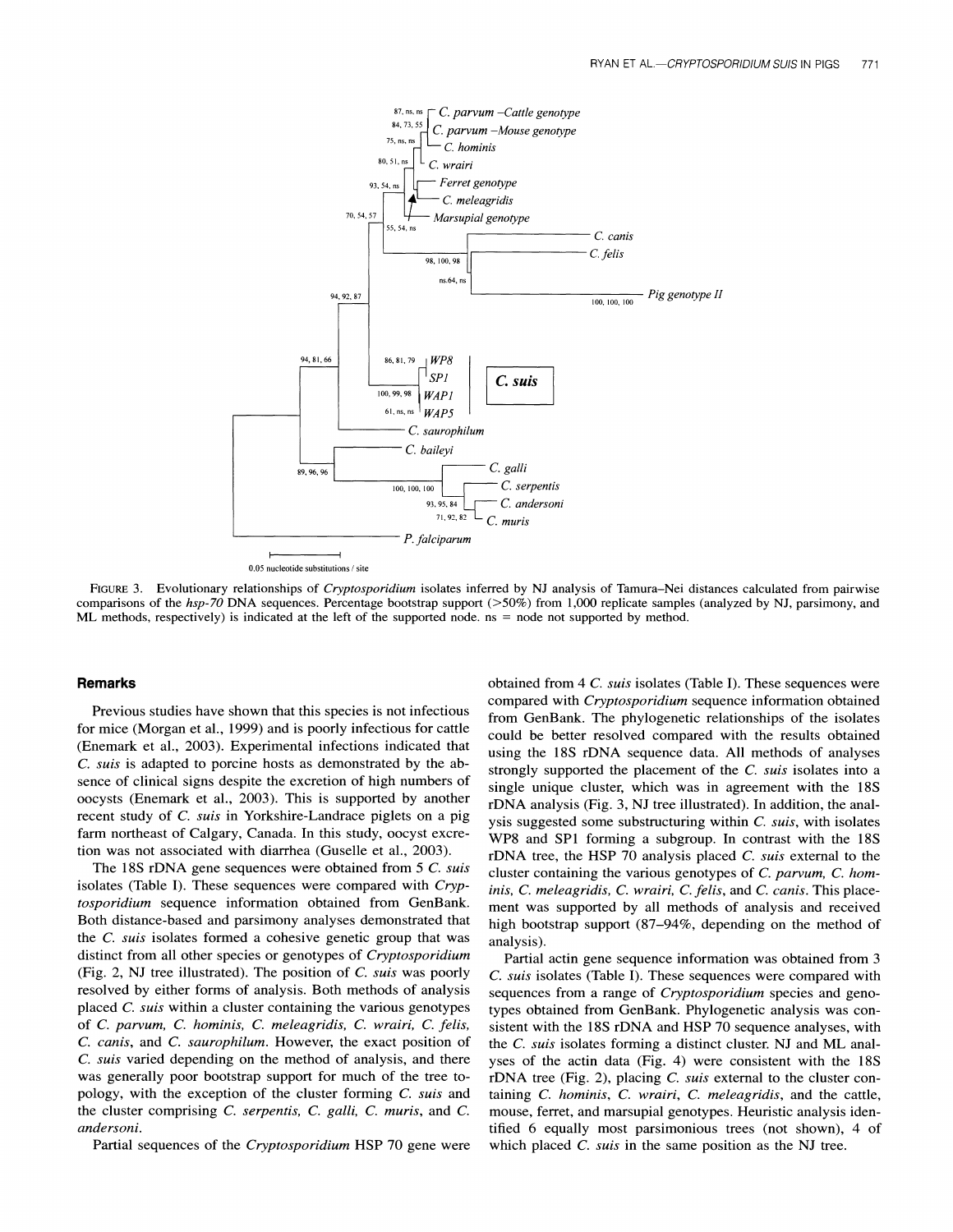

**FIGURE 3. Evolutionary relationships of Cryptosporidium isolates inferred by NJ analysis of Tamura-Nei distances calculated from pairwise comparisons of the hsp-70 DNA sequences. Percentage bootstrap support (>50%) from 1,000 replicate samples (analyzed by NJ, parsimony, and ML methods, respectively) is indicated at the left of the supported node. ns = node not supported by method.** 

### **Remarks**

**Previous studies have shown that this species is not infectious for mice (Morgan et al., 1999) and is poorly infectious for cattle (Enemark et al., 2003). Experimental infections indicated that C. suis is adapted to porcine hosts as demonstrated by the absence of clinical signs despite the excretion of high numbers of oocysts (Enemark et al., 2003). This is supported by another recent study of C. suis in Yorkshire-Landrace piglets on a pig farm northeast of Calgary, Canada. In this study, oocyst excretion was not associated with diarrhea (Guselle et al., 2003).** 

**The 18S rDNA gene sequences were obtained from 5 C. suis isolates (Table I). These sequences were compared with Cryptosporidium sequence information obtained from GenBank. Both distance-based and parsimony analyses demonstrated that the C. suis isolates formed a cohesive genetic group that was distinct from all other species or genotypes of Cryptosporidium (Fig. 2, NJ tree illustrated). The position of C. suis was poorly resolved by either forms of analysis. Both methods of analysis placed C. suis within a cluster containing the various genotypes of C. parvum, C. hominis, C. meleagridis, C. wrairi, C. felis, C. canis, and C. saurophilum. However, the exact position of C. suis varied depending on the method of analysis, and there was generally poor bootstrap support for much of the tree topology, with the exception of the cluster forming C. suis and the cluster comprising C. serpentis, C. galli, C. muris, and C. andersoni.** 

**Partial sequences of the Cryptosporidium HSP 70 gene were** 

**obtained from 4 C. suis isolates (Table I). These sequences were compared with Cryptosporidium sequence information obtained from GenBank. The phylogenetic relationships of the isolates could be better resolved compared with the results obtained using the 18S rDNA sequence data. All methods of analyses strongly supported the placement of the C. suis isolates into a single unique cluster, which was in agreement with the 18S rDNA analysis (Fig. 3, NJ tree illustrated). In addition, the analysis suggested some substructuring within C. suis, with isolates W P8 and SP1 forming a subgroup. In contrast with the 18S rDNA tree, the HSP 70 analysis placed C. suis external to the cluster containing the various genotypes of C. parvum, C. hominis, C. meleagridis, C. wrairi, C. felis, and C. canis. This placement was supported by all methods of analysis and received high bootstrap support (87-94%, depending on the method of analysis).** 

**Partial actin gene sequence information was obtained from 3 C. suis isolates (Table I). These sequences were compared with sequences from a range of Cryptosporidium species and genotypes obtained from GenBank. Phylogenetic analysis was consistent with the 18S rDNA and HSP 70 sequence analyses, with the C. suis isolates forming a distinct cluster. NJ and ML analyses of the actin data (Fig. 4) were consistent with the 18S rDNA tree (Fig. 2), placing C. suis external to the cluster containing C. hominis, C. wrairi, C. meleagridis, and the cattle, mouse, ferret, and marsupial genotypes. Heuristic analysis identified 6 equally most parsimonious trees (not shown), 4 of which placed C. suis in the same position as the NJ tree.**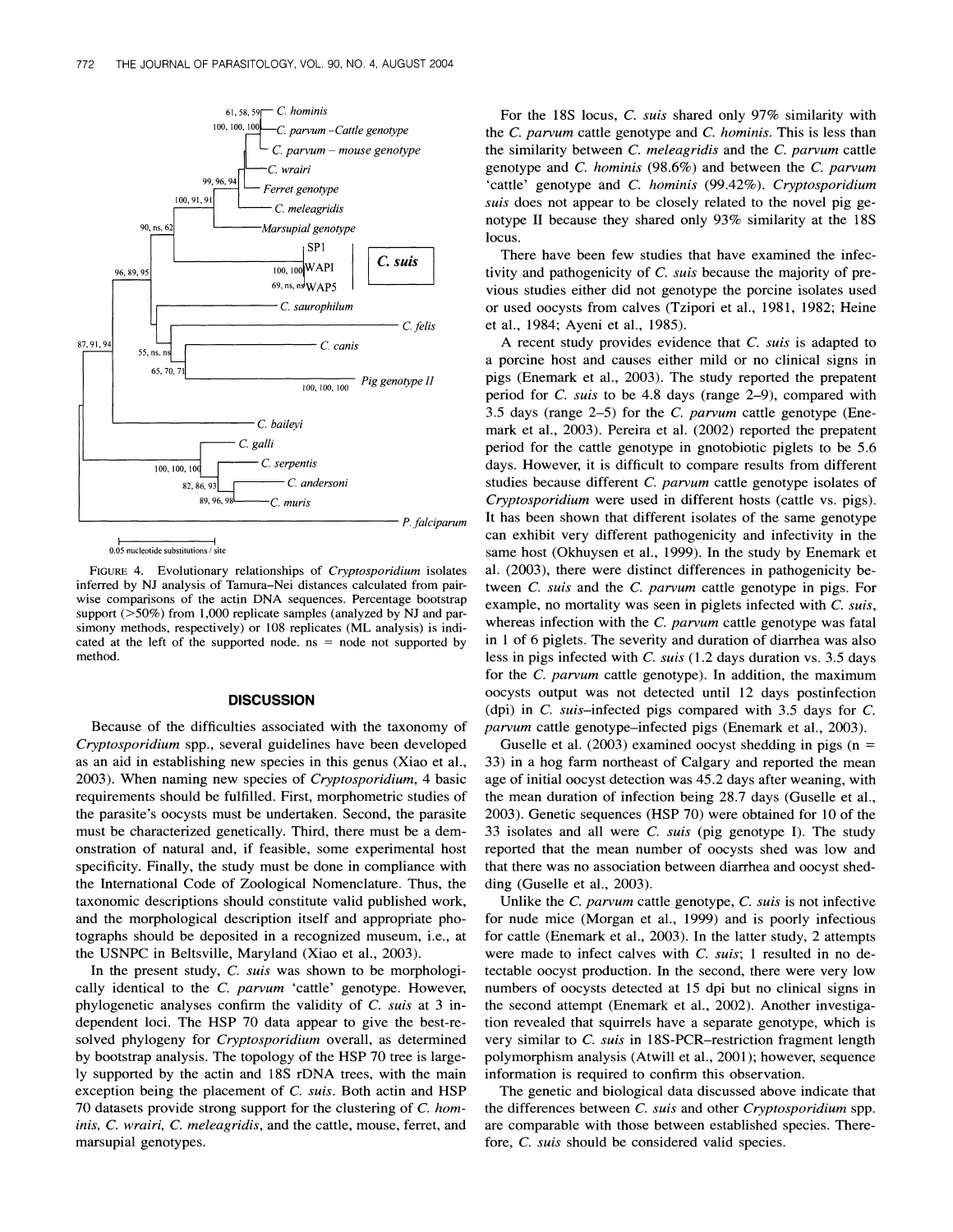

0.05 nucleotide substitutions / site

**FIGURE 4. Evolutionary relationships of Cryptosporidium isolates inferred by NJ analysis of Tamura-Nei distances calculated from pairwise comparisons of the actin DNA sequences. Percentage bootstrap support (>50%) from 1,000 replicate samples (analyzed by NJ and parsimony methods, respectively) or 108 replicates (ML analysis) is indicated at the left of the supported node. ns = node not supported by method.** 

### **DISCUSSION**

**Because of the difficulties associated with the taxonomy of Cryptosporidium spp., several guidelines have been developed as an aid in establishing new species in this genus (Xiao et al., 2003). When naming new species of Cryptosporidium, 4basic requirements should be fulfilled. First, morphometric studies of the parasite's oocysts must be undertaken. Second, the parasite must be characterized genetically. Third, there must be a demonstration of natural and, if feasible, some experimental host specificity. Finally, the study must be done in compliance with the International Code of Zoological Nomenclature. Thus, the taxonomic descriptions should constitute valid published work, and the morphological description itself and appropriate photographs should be deposited in a recognized museum, i.e., at the USNPC in Beltsville, Maryland (Xiao et al., 2003).** 

**In the present study, C. suis was shown to be morphologically identical to the C. parvum 'cattle' genotype. However, phylogenetic analyses confirm the validity of C. suis at 3 independent loci. The HSP 70 data appear to give the best-resolved phylogeny for Cryptosporidium overall, as determined by bootstrap analysis. The topology of the HSP 70 tree is largely supported by the actin and 18S rDNA trees, with the main exception being the placement of C. suis. Both actin and HSP 70 datasets provide strong support for the clustering of C. hominis, C. wrairi, C. meleagridis, and the cattle, mouse, ferret, and marsupial genotypes.** 

**For the 18S locus, C. suis shared only 97% similarity with the C. parvum cattle genotype and C. hominis. This is less than the similarity between C. meleagridis and the C. parvum cattle genotype and C. hominis (98.6%) and between the C. parvum 'cattle' genotype and C. hominis (99.42%). Cryptosporidium suis does not appear to be closely related to the novel pig genotype II because they shared only 93% similarity at the 18S locus.** 

**There have been few studies that have examined the infectivity and pathogenicity of C. suis because the majority of previous studies either did not genotype the porcine isolates used or used oocysts from calves (Tzipori et al., 1981, 1982; Heine et al., 1984; Ayeni et al., 1985).** 

**A recent study provides evidence that C. suis is adapted to a porcine host and causes either mild or no clinical signs in pigs (Enemark et al., 2003). The study reported the prepatent period for C. suis to be 4.8 days (range 2-9), compared with 3.5 days (range 2-5) for the C. parvum cattle genotype (Enemark et al., 2003). Pereira et al. (2002) reported the prepatent period for the cattle genotype in gnotobiotic piglets to be 5.6 days. However, it is difficult to compare results from different studies because different C. parvum cattle genotype isolates of Cryptosporidium were used in different hosts (cattle vs. pigs). It has been shown that different isolates of the same genotype can exhibit very different pathogenicity and infectivity in the same host (Okhuysen et al., 1999). In the study by Enemark et al. (2003), there were distinct differences in pathogenicity between C. suis and the C. parvum cattle genotype in pigs. For example, no mortality was seen in piglets infected with C. suis, whereas infection with the C. parvum cattle genotype was fatal in 1 of 6 piglets. The severity and duration of diarrhea was also less in pigs infected with C. suis (1.2 days duration vs. 3.5 days for the C. parvum cattle genotype). In addition, the maximum oocysts output was not detected until 12 days postinfection (dpi) in C. suis-infected pigs compared with 3.5 days for C. parvum cattle genotype-infected pigs (Enemark et al., 2003).** 

**Guselle et al. (2003) examined oocyst shedding in pigs (n = 33) in a hog farm northeast of Calgary and reported the mean age of initial oocyst detection was 45.2 days after weaning, with the mean duration of infection being 28.7 days (Guselle et al., 2003). Genetic sequences (HSP 70) were obtained for 10 of the 33 isolates and all were C. suis (pig genotype I). The study reported that the mean number of oocysts shed was low and that there was no association between diarrhea and oocyst shedding (Guselle et al., 2003).** 

**Unlike the C. parvum cattle genotype, C. suis is not infective for nude mice (Morgan et al., 1999) and is poorly infectious for cattle (Enemark et al., 2003). In the latter study, 2 attempts were made to infect calves with C. suis; 1 resulted in no detectable oocyst production. In the second, there were very low numbers of oocysts detected at 15 dpi but no clinical signs in the second attempt (Enemark et al., 2002). Another investigation revealed that squirrels have a separate genotype, which is very similar to C. suis in 18S-PCR-restriction fragment length polymorphism analysis (Atwill et al., 2001); however, sequence information is required to confirm this observation.** 

**The genetic and biological data discussed above indicate that the differences between C. suis and other Cryptosporidium spp. are comparable with those between established species. Therefore, C. suis should be considered valid species.**